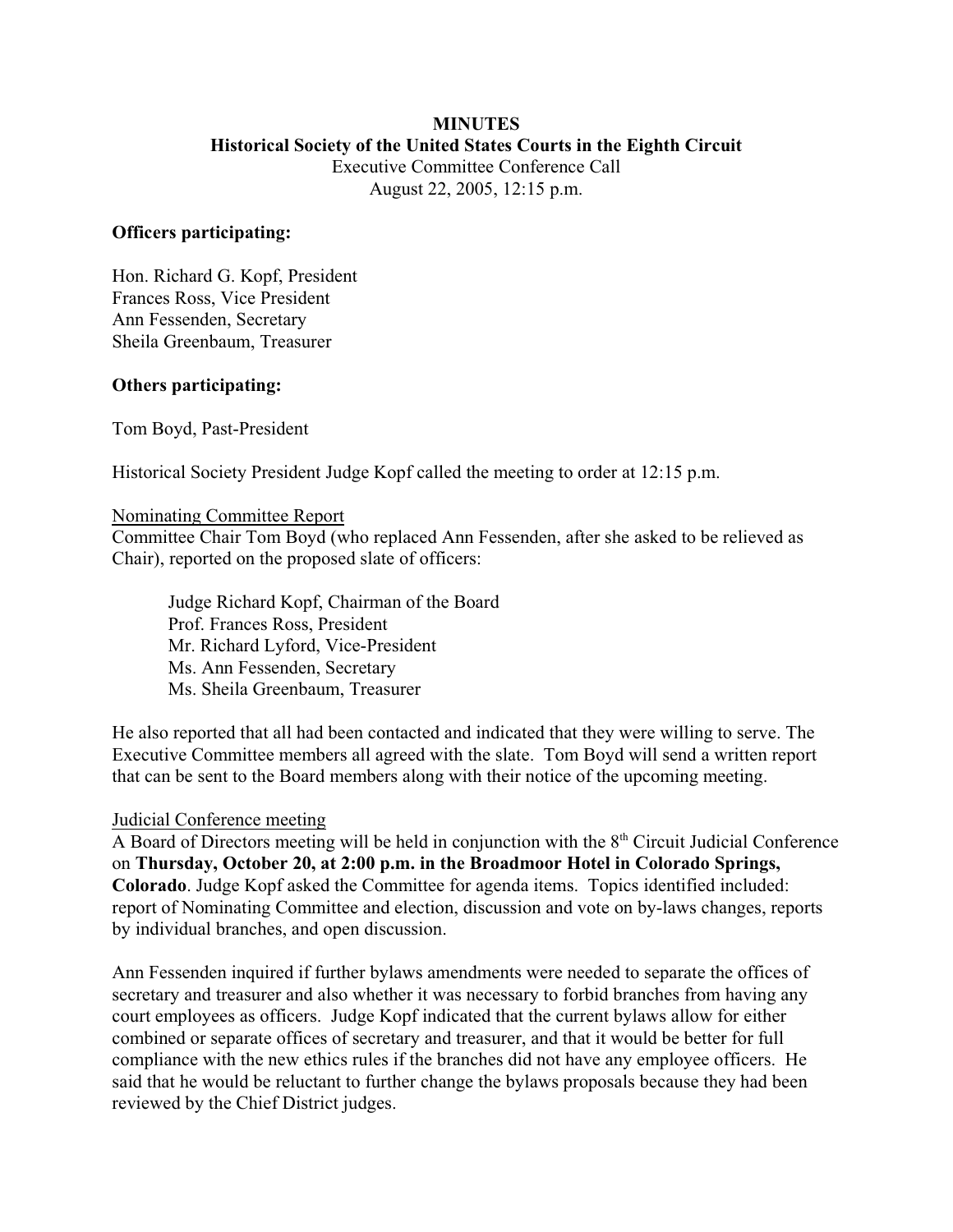## **MINUTES Historical Society of the United States Courts in the Eighth Circuit** Executive Committee Conference Call

August 22, 2005, 12:15 p.m.

### **Officers participating:**

Hon. Richard G. Kopf, President Frances Ross, Vice President Ann Fessenden, Secretary Sheila Greenbaum, Treasurer

## **Others participating:**

Tom Boyd, Past-President

Historical Society President Judge Kopf called the meeting to order at 12:15 p.m.

#### Nominating Committee Report

Committee Chair Tom Boyd (who replaced Ann Fessenden, after she asked to be relieved as Chair), reported on the proposed slate of officers:

Judge Richard Kopf, Chairman of the Board Prof. Frances Ross, President Mr. Richard Lyford, Vice-President Ms. Ann Fessenden, Secretary Ms. Sheila Greenbaum, Treasurer

He also reported that all had been contacted and indicated that they were willing to serve. The Executive Committee members all agreed with the slate. Tom Boyd will send a written report that can be sent to the Board members along with their notice of the upcoming meeting.

#### Judicial Conference meeting

A Board of Directors meeting will be held in conjunction with the  $8<sup>th</sup>$  Circuit Judicial Conference on **Thursday, October 20, at 2:00 p.m. in the Broadmoor Hotel in Colorado Springs, Colorado**. Judge Kopf asked the Committee for agenda items. Topics identified included: report of Nominating Committee and election, discussion and vote on by-laws changes, reports by individual branches, and open discussion.

Ann Fessenden inquired if further bylaws amendments were needed to separate the offices of secretary and treasurer and also whether it was necessary to forbid branches from having any court employees as officers. Judge Kopf indicated that the current bylaws allow for either combined or separate offices of secretary and treasurer, and that it would be better for full compliance with the new ethics rules if the branches did not have any employee officers. He said that he would be reluctant to further change the bylaws proposals because they had been reviewed by the Chief District judges.